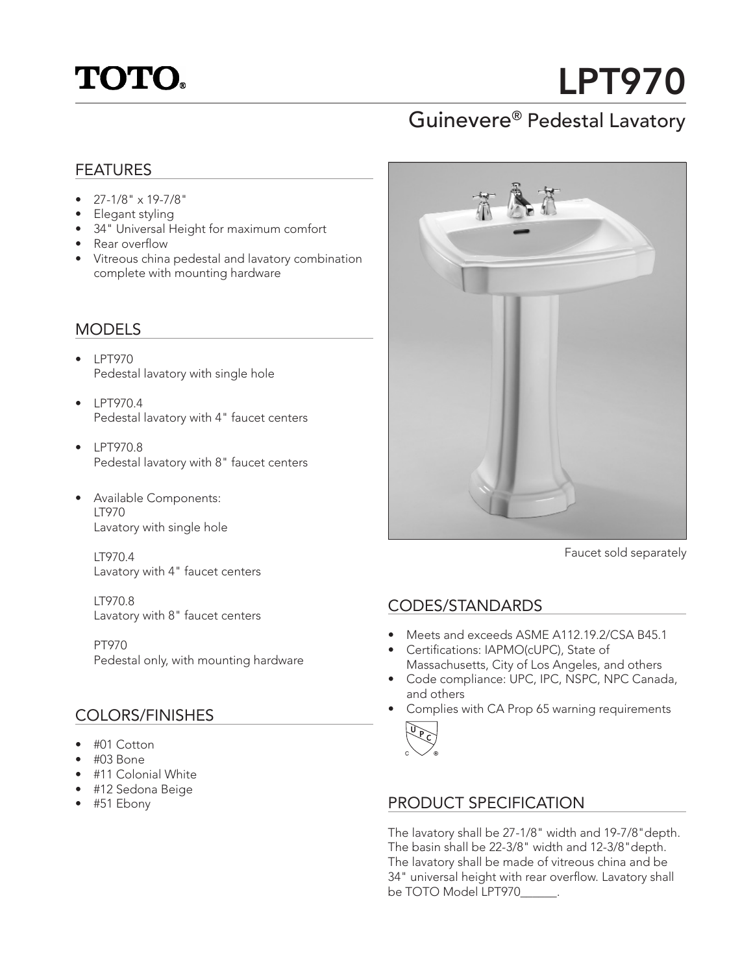## **TOTO.**

# LPT970

## Guinevere® Pedestal Lavatory

#### FEATURES

- 27-1/8" x 19-7/8"
- Elegant styling
- 34" Universal Height for maximum comfort
- Rear overflow
- Vitreous china pedestal and lavatory combination complete with mounting hardware

#### MODELS

- LPT970 Pedestal lavatory with single hole
- LPT9704 Pedestal lavatory with 4" faucet centers
- LPT970.8 Pedestal lavatory with 8" faucet centers
- Available Components: • LT970 Lavatory with single hole

• LT970.4 Lavatory with 4" faucet centers

• LT970.8 Lavatory with 8" faucet centers

• PT970 Pedestal only, with mounting hardware

#### COLORS/FINISHES

- #01 Cotton
- $\bullet$  #03 Bone
- #11 Colonial White
- #12 Sedona Beige
- #51 Ebony



Faucet sold separately

#### CODES/STANDARDS

- Meets and exceeds ASME A112.19.2/CSA B45.1
- Certifications: IAPMO(cUPC), State of Massachusetts, City of Los Angeles, and others
- Code compliance: UPC, IPC, NSPC, NPC Canada, and others
- Complies with CA Prop 65 warning requirements



#### PRODUCT SPECIFICATION

The lavatory shall be 27-1/8" width and 19-7/8"depth. The basin shall be 22-3/8" width and 12-3/8"depth. The lavatory shall be made of vitreous china and be 34" universal height with rear overflow. Lavatory shall be TOTO Model LPT970